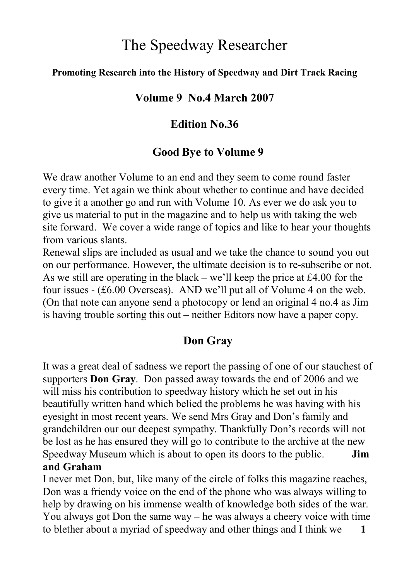# The Speedway Researcher

#### **Promoting Research into the History of Speedway and Dirt Track Racing**

#### **Volume 9 No.4 March 2007**

### **Edition No.36**

### **Good Bye to Volume 9**

We draw another Volume to an end and they seem to come round faster every time. Yet again we think about whether to continue and have decided to give it a another go and run with Volume 10. As ever we do ask you to give us material to put in the magazine and to help us with taking the web site forward. We cover a wide range of topics and like to hear your thoughts from various slants.

Renewal slips are included as usual and we take the chance to sound you out on our performance. However, the ultimate decision is to re-subscribe or not. As we still are operating in the black – we'll keep the price at £4.00 for the four issues - (£6.00 Overseas). AND we'll put all of Volume 4 on the web. (On that note can anyone send a photocopy or lend an original 4 no.4 as Jim is having trouble sorting this out – neither Editors now have a paper copy.

# **Don Gray**

It was a great deal of sadness we report the passing of one of our stauchest of supporters **Don Gray**. Don passed away towards the end of 2006 and we will miss his contribution to speedway history which he set out in his beautifully written hand which belied the problems he was having with his eyesight in most recent years. We send Mrs Gray and Don's family and grandchildren our our deepest sympathy. Thankfully Don's records will not be lost as he has ensured they will go to contribute to the archive at the new Speedway Museum which is about to open its doors to the public. **Jim and Graham**

I never met Don, but, like many of the circle of folks this magazine reaches, Don was a friendy voice on the end of the phone who was always willing to help by drawing on his immense wealth of knowledge both sides of the war. You always got Don the same way – he was always a cheery voice with time to blether about a myriad of speedway and other things and I think we **1**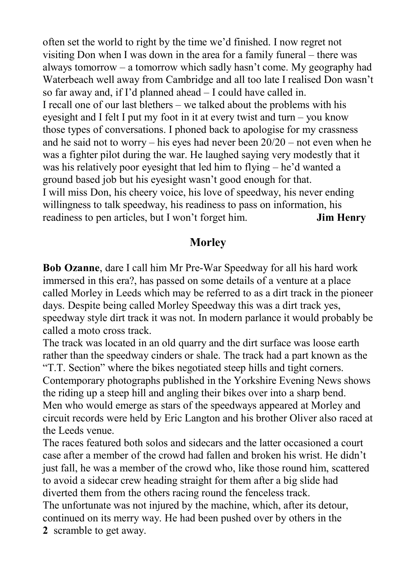often set the world to right by the time we'd finished. I now regret not visiting Don when I was down in the area for a family funeral – there was always tomorrow – a tomorrow which sadly hasn't come. My geography had Waterbeach well away from Cambridge and all too late I realised Don wasn't so far away and, if I'd planned ahead – I could have called in. I recall one of our last blethers – we talked about the problems with his eyesight and I felt I put my foot in it at every twist and turn – you know those types of conversations. I phoned back to apologise for my crassness and he said not to worry – his eyes had never been 20/20 – not even when he was a fighter pilot during the war. He laughed saying very modestly that it was his relatively poor eyesight that led him to flying – he'd wanted a ground based job but his eyesight wasn't good enough for that. I will miss Don, his cheery voice, his love of speedway, his never ending willingness to talk speedway, his readiness to pass on information, his readiness to pen articles, but I won't forget him. **Jim Henry**

### **Morley**

**Bob Ozanne**, dare I call him Mr Pre-War Speedway for all his hard work immersed in this era?, has passed on some details of a venture at a place called Morley in Leeds which may be referred to as a dirt track in the pioneer days. Despite being called Morley Speedway this was a dirt track yes, speedway style dirt track it was not. In modern parlance it would probably be called a moto cross track.

The track was located in an old quarry and the dirt surface was loose earth rather than the speedway cinders or shale. The track had a part known as the "T.T. Section" where the bikes negotiated steep hills and tight corners. Contemporary photographs published in the Yorkshire Evening News shows the riding up a steep hill and angling their bikes over into a sharp bend. Men who would emerge as stars of the speedways appeared at Morley and circuit records were held by Eric Langton and his brother Oliver also raced at the Leeds venue.

The races featured both solos and sidecars and the latter occasioned a court case after a member of the crowd had fallen and broken his wrist. He didn't just fall, he was a member of the crowd who, like those round him, scattered to avoid a sidecar crew heading straight for them after a big slide had diverted them from the others racing round the fenceless track.

The unfortunate was not injured by the machine, which, after its detour, continued on its merry way. He had been pushed over by others in the **2** scramble to get away.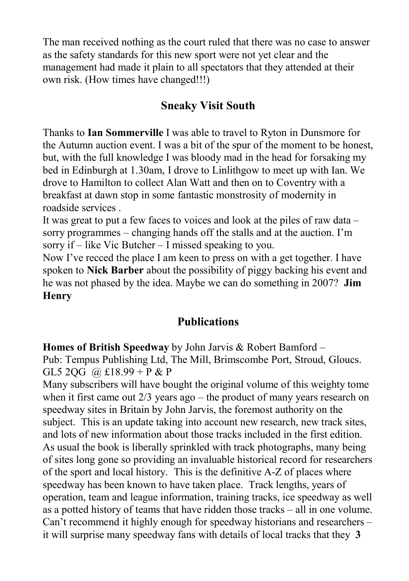The man received nothing as the court ruled that there was no case to answer as the safety standards for this new sport were not yet clear and the management had made it plain to all spectators that they attended at their own risk. (How times have changed!!!)

### **Sneaky Visit South**

Thanks to **Ian Sommerville** I was able to travel to Ryton in Dunsmore for the Autumn auction event. I was a bit of the spur of the moment to be honest, but, with the full knowledge I was bloody mad in the head for forsaking my bed in Edinburgh at 1.30am, I drove to Linlithgow to meet up with Ian. We drove to Hamilton to collect Alan Watt and then on to Coventry with a breakfast at dawn stop in some fantastic monstrosity of modernity in roadside services .

It was great to put a few faces to voices and look at the piles of raw data – sorry programmes – changing hands off the stalls and at the auction. I'm sorry if – like Vic Butcher – I missed speaking to you.

Now I've recced the place I am keen to press on with a get together. I have spoken to **Nick Barber** about the possibility of piggy backing his event and he was not phased by the idea. Maybe we can do something in 2007? **Jim Henry**

#### **Publications**

**Homes of British Speedway** by John Jarvis & Robert Bamford – Pub: Tempus Publishing Ltd, The Mill, Brimscombe Port, Stroud, Gloucs. GL5 2QG @ £18.99 + P & P

Many subscribers will have bought the original volume of this weighty tome when it first came out  $2/3$  years ago – the product of many years research on speedway sites in Britain by John Jarvis, the foremost authority on the subject. This is an update taking into account new research, new track sites, and lots of new information about those tracks included in the first edition. As usual the book is liberally sprinkled with track photographs, many being of sites long gone so providing an invaluable historical record for researchers of the sport and local history. This is the definitive A-Z of places where speedway has been known to have taken place. Track lengths, years of operation, team and league information, training tracks, ice speedway as well as a potted history of teams that have ridden those tracks – all in one volume. Can't recommend it highly enough for speedway historians and researchers – it will surprise many speedway fans with details of local tracks that they **3**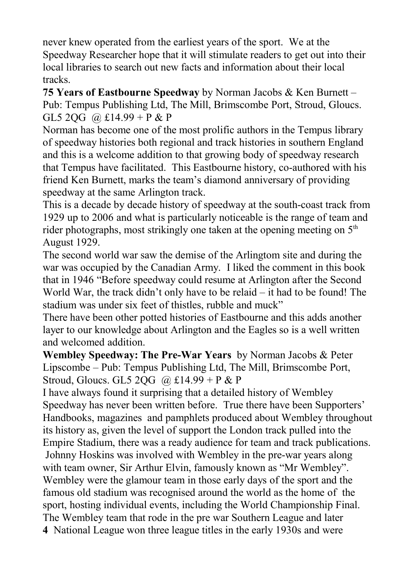never knew operated from the earliest years of the sport. We at the Speedway Researcher hope that it will stimulate readers to get out into their local libraries to search out new facts and information about their local tracks.

**75 Years of Eastbourne Speedway** by Norman Jacobs & Ken Burnett – Pub: Tempus Publishing Ltd, The Mill, Brimscombe Port, Stroud, Gloucs. GL5 2OG @ £14.99 + P & P

Norman has become one of the most prolific authors in the Tempus library of speedway histories both regional and track histories in southern England and this is a welcome addition to that growing body of speedway research that Tempus have facilitated. This Eastbourne history, co-authored with his friend Ken Burnett, marks the team's diamond anniversary of providing speedway at the same Arlington track.

This is a decade by decade history of speedway at the south-coast track from 1929 up to 2006 and what is particularly noticeable is the range of team and rider photographs, most strikingly one taken at the opening meeting on  $5<sup>th</sup>$ August 1929.

The second world war saw the demise of the Arlingtom site and during the war was occupied by the Canadian Army. I liked the comment in this book that in 1946 "Before speedway could resume at Arlington after the Second World War, the track didn't only have to be relaid – it had to be found! The stadium was under six feet of thistles, rubble and muck"

There have been other potted histories of Eastbourne and this adds another layer to our knowledge about Arlington and the Eagles so is a well written and welcomed addition.

**Wembley Speedway: The Pre-War Years** by Norman Jacobs & Peter Lipscombe – Pub: Tempus Publishing Ltd, The Mill, Brimscombe Port, Stroud, Gloucs. GL5 2OG @  $£14.99 + P & P$ 

I have always found it surprising that a detailed history of Wembley Speedway has never been written before. True there have been Supporters' Handbooks, magazines and pamphlets produced about Wembley throughout its history as, given the level of support the London track pulled into the Empire Stadium, there was a ready audience for team and track publications. Johnny Hoskins was involved with Wembley in the pre-war years along with team owner, Sir Arthur Elvin, famously known as "Mr Wembley". Wembley were the glamour team in those early days of the sport and the famous old stadium was recognised around the world as the home of the sport, hosting individual events, including the World Championship Final. The Wembley team that rode in the pre war Southern League and later **4** National League won three league titles in the early 1930s and were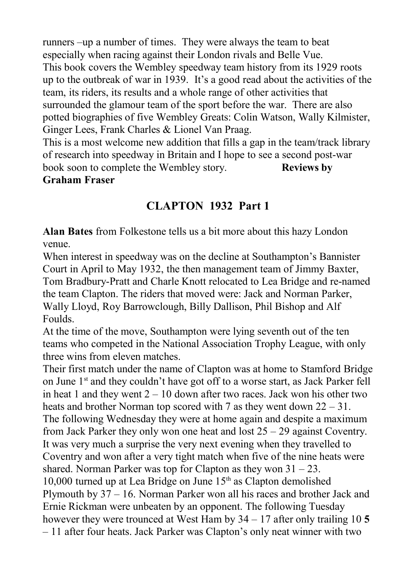runners –up a number of times. They were always the team to beat especially when racing against their London rivals and Belle Vue. This book covers the Wembley speedway team history from its 1929 roots up to the outbreak of war in 1939. It's a good read about the activities of the team, its riders, its results and a whole range of other activities that surrounded the glamour team of the sport before the war. There are also potted biographies of five Wembley Greats: Colin Watson, Wally Kilmister, Ginger Lees, Frank Charles & Lionel Van Praag.

This is a most welcome new addition that fills a gap in the team/track library of research into speedway in Britain and I hope to see a second post-war book soon to complete the Wembley story. **Reviews by Graham Fraser**

# **CLAPTON 1932 Part 1**

**Alan Bates** from Folkestone tells us a bit more about this hazy London venue.

When interest in speedway was on the decline at Southampton's Bannister Court in April to May 1932, the then management team of Jimmy Baxter, Tom Bradbury-Pratt and Charle Knott relocated to Lea Bridge and re-named the team Clapton. The riders that moved were: Jack and Norman Parker, Wally Lloyd, Roy Barrowclough, Billy Dallison, Phil Bishop and Alf Foulds.

At the time of the move, Southampton were lying seventh out of the ten teams who competed in the National Association Trophy League, with only three wins from eleven matches.

Their first match under the name of Clapton was at home to Stamford Bridge on June  $1<sup>st</sup>$  and they couldn't have got off to a worse start, as Jack Parker fell in heat 1 and they went  $2 - 10$  down after two races. Jack won his other two heats and brother Norman top scored with 7 as they went down  $22 - 31$ . The following Wednesday they were at home again and despite a maximum from Jack Parker they only won one heat and lost 25 – 29 against Coventry. It was very much a surprise the very next evening when they travelled to Coventry and won after a very tight match when five of the nine heats were shared. Norman Parker was top for Clapton as they won  $31 - 23$ . 10,000 turned up at Lea Bridge on June  $15<sup>th</sup>$  as Clapton demolished Plymouth by 37 – 16. Norman Parker won all his races and brother Jack and Ernie Rickman were unbeaten by an opponent. The following Tuesday however they were trounced at West Ham by 34 – 17 after only trailing 10 **5** – 11 after four heats. Jack Parker was Clapton's only neat winner with two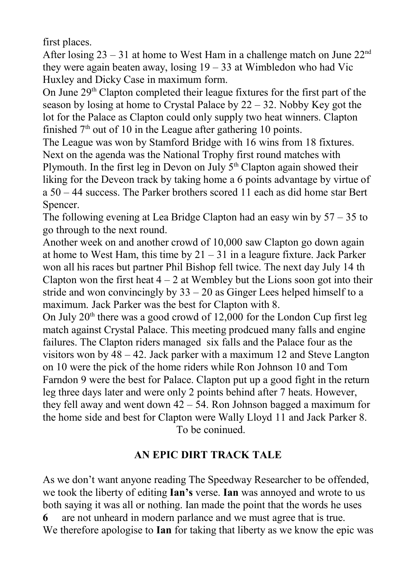first places.

After losing  $23 - 31$  at home to West Ham in a challenge match on June  $22<sup>nd</sup>$ they were again beaten away, losing  $19 - 33$  at Wimbledon who had Vic Huxley and Dicky Case in maximum form.

On June 29<sup>th</sup> Clapton completed their league fixtures for the first part of the season by losing at home to Crystal Palace by  $22 - 32$ . Nobby Key got the lot for the Palace as Clapton could only supply two heat winners. Clapton finished  $7<sup>th</sup>$  out of 10 in the League after gathering 10 points.

The League was won by Stamford Bridge with 16 wins from 18 fixtures. Next on the agenda was the National Trophy first round matches with Plymouth. In the first leg in Devon on July  $5<sup>th</sup>$  Clapton again showed their liking for the Deveon track by taking home a 6 points advantage by virtue of a 50 – 44 success. The Parker brothers scored 11 each as did home star Bert Spencer.

The following evening at Lea Bridge Clapton had an easy win by 57 – 35 to go through to the next round.

Another week on and another crowd of 10,000 saw Clapton go down again at home to West Ham, this time by  $21 - 31$  in a leagure fixture. Jack Parker won all his races but partner Phil Bishop fell twice. The next day July 14 th Clapton won the first heat  $4 - 2$  at Wembley but the Lions soon got into their stride and won convincingly by  $33 - 20$  as Ginger Lees helped himself to a maximum. Jack Parker was the best for Clapton with 8.

On July  $20<sup>th</sup>$  there was a good crowd of 12,000 for the London Cup first leg match against Crystal Palace. This meeting prodcued many falls and engine failures. The Clapton riders managed six falls and the Palace four as the visitors won by 48 – 42. Jack parker with a maximum 12 and Steve Langton on 10 were the pick of the home riders while Ron Johnson 10 and Tom Farndon 9 were the best for Palace. Clapton put up a good fight in the return leg three days later and were only 2 points behind after 7 heats. However, they fell away and went down 42 – 54. Ron Johnson bagged a maximum for the home side and best for Clapton were Wally Lloyd 11 and Jack Parker 8. To be coninued.

#### **AN EPIC DIRT TRACK TALE**

As we don't want anyone reading The Speedway Researcher to be offended, we took the liberty of editing **Ian's** verse. **Ian** was annoyed and wrote to us both saying it was all or nothing. Ian made the point that the words he uses **6** are not unheard in modern parlance and we must agree that is true. We therefore apologise to **Ian** for taking that liberty as we know the epic was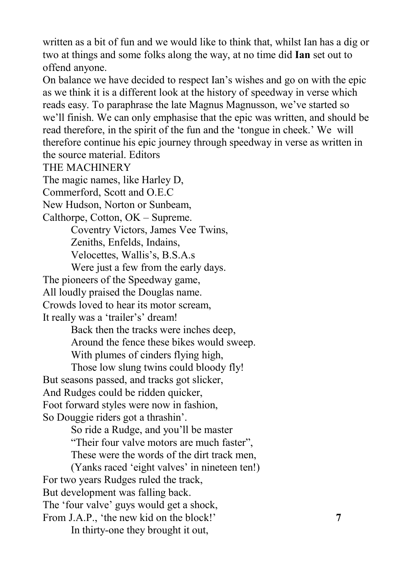written as a bit of fun and we would like to think that, whilst Ian has a dig or two at things and some folks along the way, at no time did **Ian** set out to offend anyone.

On balance we have decided to respect Ian's wishes and go on with the epic as we think it is a different look at the history of speedway in verse which reads easy. To paraphrase the late Magnus Magnusson, we've started so we'll finish. We can only emphasise that the epic was written, and should be read therefore, in the spirit of the fun and the 'tongue in cheek.' We will therefore continue his epic journey through speedway in verse as written in the source material. Editors

THE MACHINERY

The magic names, like Harley D,

Commerford, Scott and O.E.C

New Hudson, Norton or Sunbeam,

Calthorpe, Cotton, OK – Supreme.

Coventry Victors, James Vee Twins,

Zeniths, Enfelds, Indains,

Velocettes, Wallis's, B.S.A.s

Were just a few from the early days.

The pioneers of the Speedway game,

All loudly praised the Douglas name.

Crowds loved to hear its motor scream,

It really was a 'trailer's' dream!

Back then the tracks were inches deep,

Around the fence these bikes would sweep.

With plumes of cinders flying high,

Those low slung twins could bloody fly! But seasons passed, and tracks got slicker, And Rudges could be ridden quicker,

Foot forward styles were now in fashion, So Douggie riders got a thrashin'.

So ride a Rudge, and you'll be master

"Their four valve motors are much faster",

These were the words of the dirt track men,

(Yanks raced 'eight valves' in nineteen ten!) For two years Rudges ruled the track, But development was falling back. The 'four valve' guys would get a shock, From J.A.P., 'the new kid on the block!' **7** In thirty-one they brought it out,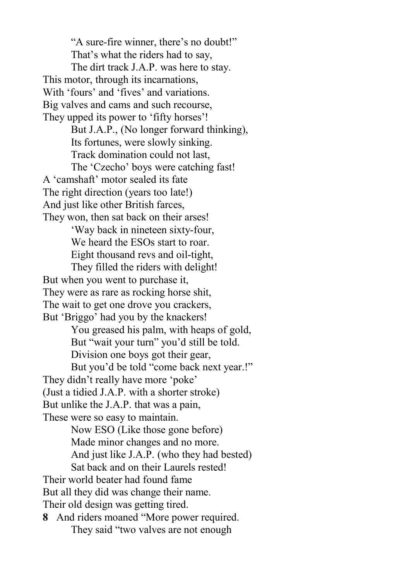"A sure-fire winner, there's no doubt!" That's what the riders had to say, The dirt track J.A.P. was here to stay. This motor, through its incarnations, With 'fours' and 'fives' and variations. Big valves and cams and such recourse, They upped its power to 'fifty horses'! But J.A.P., (No longer forward thinking), Its fortunes, were slowly sinking. Track domination could not last, The 'Czecho' boys were catching fast! A 'camshaft' motor sealed its fate The right direction (years too late!) And just like other British farces, They won, then sat back on their arses! 'Way back in nineteen sixty-four, We heard the ESOs start to roar. Eight thousand revs and oil-tight, They filled the riders with delight! But when you went to purchase it, They were as rare as rocking horse shit, The wait to get one drove you crackers, But 'Briggo' had you by the knackers! You greased his palm, with heaps of gold, But "wait your turn" you'd still be told. Division one boys got their gear, But you'd be told "come back next year.!" They didn't really have more 'poke' (Just a tidied J.A.P. with a shorter stroke) But unlike the J.A.P. that was a pain, These were so easy to maintain. Now ESO (Like those gone before) Made minor changes and no more. And just like J.A.P. (who they had bested) Sat back and on their Laurels rested! Their world beater had found fame But all they did was change their name. Their old design was getting tired. **8** And riders moaned "More power required. They said "two valves are not enough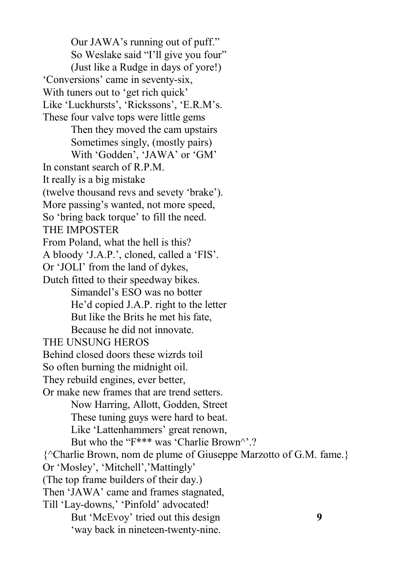Our JAWA's running out of puff." So Weslake said "I'll give you four" (Just like a Rudge in days of yore!) 'Conversions' came in seventy-six, With tuners out to 'get rich quick' Like 'Luckhursts', 'Rickssons', 'E.R.M's. These four valve tops were little gems Then they moved the cam upstairs Sometimes singly, (mostly pairs) With 'Godden', 'JAWA' or 'GM' In constant search of R.P.M. It really is a big mistake (twelve thousand revs and sevety 'brake'). More passing's wanted, not more speed, So 'bring back torque' to fill the need. THE IMPOSTER From Poland, what the hell is this? A bloody 'J.A.P.', cloned, called a 'FIS'. Or 'JOLI' from the land of dykes, Dutch fitted to their speedway bikes. Simandel's ESO was no botter He'd copied J.A.P. right to the letter But like the Brits he met his fate, Because he did not innovate. THE UNSUNG HEROS Behind closed doors these wizrds toil So often burning the midnight oil. They rebuild engines, ever better, Or make new frames that are trend setters. Now Harring, Allott, Godden, Street These tuning guys were hard to beat. Like 'Lattenhammers' great renown, But who the "F\*\*\* was 'Charlie Brown".? {^Charlie Brown, nom de plume of Giuseppe Marzotto of G.M. fame.} Or 'Mosley', 'Mitchell','Mattingly' (The top frame builders of their day.) Then 'JAWA' came and frames stagnated, Till 'Lay-downs,' 'Pinfold' advocated! But 'McEvoy' tried out this design **9** 'way back in nineteen-twenty-nine.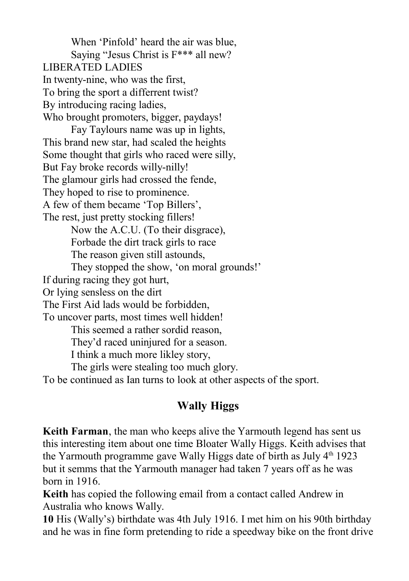When 'Pinfold' heard the air was blue, Saying "Jesus Christ is F\*\*\* all new? LIBERATED LADIES In twenty-nine, who was the first, To bring the sport a differrent twist? By introducing racing ladies, Who brought promoters, bigger, paydays! Fay Taylours name was up in lights, This brand new star, had scaled the heights Some thought that girls who raced were silly, But Fay broke records willy-nilly! The glamour girls had crossed the fende, They hoped to rise to prominence. A few of them became 'Top Billers', The rest, just pretty stocking fillers! Now the A.C.U. (To their disgrace), Forbade the dirt track girls to race The reason given still astounds, They stopped the show, 'on moral grounds!' If during racing they got hurt, Or lying sensless on the dirt The First Aid lads would be forbidden, To uncover parts, most times well hidden! This seemed a rather sordid reason, They'd raced uninjured for a season. I think a much more likley story, The girls were stealing too much glory. To be continued as Ian turns to look at other aspects of the sport.

### **Wally Higgs**

**Keith Farman**, the man who keeps alive the Yarmouth legend has sent us this interesting item about one time Bloater Wally Higgs. Keith advises that the Yarmouth programme gave Wally Higgs date of birth as July  $4<sup>th</sup>$  1923 but it semms that the Yarmouth manager had taken 7 years off as he was born in 1916.

**Keith** has copied the following email from a contact called Andrew in Australia who knows Wally.

**10** His (Wally's) birthdate was 4th July 1916. I met him on his 90th birthday and he was in fine form pretending to ride a speedway bike on the front drive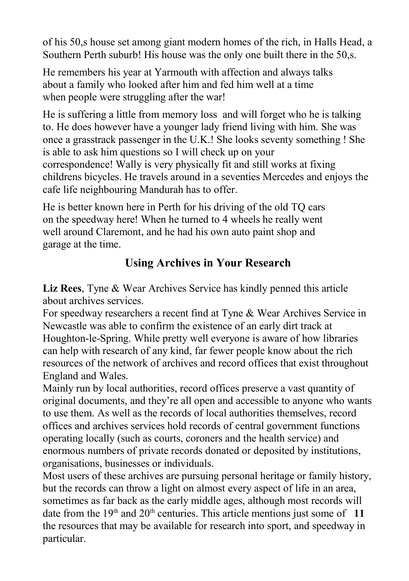of his 50,s house set among giant modern homes of the rich, in Halls Head, a Southern Perth suburb! His house was the only one built there in the 50,s.

He remembers his year at Yarmouth with affection and always talks about a family who looked after him and fed him well at a time when people were struggling after the war!

He is suffering a little from memory loss and will forget who he is talking to. He does however have a younger lady friend living with him. She was once a grasstrack passenger in the U.K.! She looks seventy something ! She is able to ask him questions so I will check up on your correspondence! Wally is very physically fit and still works at fixing childrens bicycles. He travels around in a seventies Mercedes and enjoys the cafe life neighbouring Mandurah has to offer.

He is better known here in Perth for his driving of the old TQ cars on the speedway here! When he turned to 4 wheels he really went well around Claremont, and he had his own auto paint shop and garage at the time.

# **Using Archives in Your Research**

**Liz Rees**, Tyne & Wear Archives Service has kindly penned this article about archives services.

For speedway researchers a recent find at Tyne & Wear Archives Service in Newcastle was able to confirm the existence of an early dirt track at Houghton-le-Spring. While pretty well everyone is aware of how libraries can help with research of any kind, far fewer people know about the rich resources of the network of archives and record offices that exist throughout England and Wales.

Mainly run by local authorities, record offices preserve a vast quantity of original documents, and they're all open and accessible to anyone who wants to use them. As well as the records of local authorities themselves, record offices and archives services hold records of central government functions operating locally (such as courts, coroners and the health service) and enormous numbers of private records donated or deposited by institutions, organisations, businesses or individuals.

Most users of these archives are pursuing personal heritage or family history, but the records can throw a light on almost every aspect of life in an area, sometimes as far back as the early middle ages, although most records will date from the  $19<sup>th</sup>$  and  $20<sup>th</sup>$  centuries. This article mentions just some of 11 the resources that may be available for research into sport, and speedway in particular.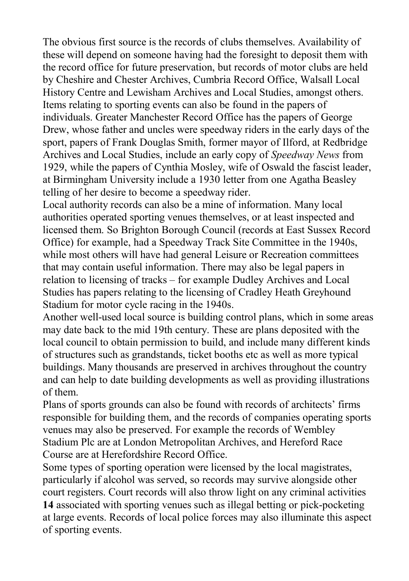The obvious first source is the records of clubs themselves. Availability of these will depend on someone having had the foresight to deposit them with the record office for future preservation, but records of motor clubs are held by Cheshire and Chester Archives, Cumbria Record Office, Walsall Local History Centre and Lewisham Archives and Local Studies, amongst others. Items relating to sporting events can also be found in the papers of individuals. Greater Manchester Record Office has the papers of George Drew, whose father and uncles were speedway riders in the early days of the sport, papers of Frank Douglas Smith, former mayor of Ilford, at Redbridge Archives and Local Studies, include an early copy of *Speedway News* from 1929, while the papers of Cynthia Mosley, wife of Oswald the fascist leader, at Birmingham University include a 1930 letter from one Agatha Beasley telling of her desire to become a speedway rider.

Local authority records can also be a mine of information. Many local authorities operated sporting venues themselves, or at least inspected and licensed them. So Brighton Borough Council (records at East Sussex Record Office) for example, had a Speedway Track Site Committee in the 1940s, while most others will have had general Leisure or Recreation committees that may contain useful information. There may also be legal papers in relation to licensing of tracks – for example Dudley Archives and Local Studies has papers relating to the licensing of Cradley Heath Greyhound Stadium for motor cycle racing in the 1940s.

Another well-used local source is building control plans, which in some areas may date back to the mid 19th century. These are plans deposited with the local council to obtain permission to build, and include many different kinds of structures such as grandstands, ticket booths etc as well as more typical buildings. Many thousands are preserved in archives throughout the country and can help to date building developments as well as providing illustrations of them.

Plans of sports grounds can also be found with records of architects' firms responsible for building them, and the records of companies operating sports venues may also be preserved. For example the records of Wembley Stadium Plc are at London Metropolitan Archives, and Hereford Race Course are at Herefordshire Record Office.

Some types of sporting operation were licensed by the local magistrates, particularly if alcohol was served, so records may survive alongside other court registers. Court records will also throw light on any criminal activities **14** associated with sporting venues such as illegal betting or pick-pocketing at large events. Records of local police forces may also illuminate this aspect of sporting events.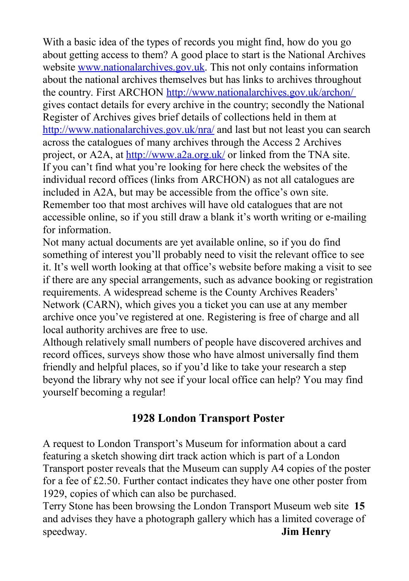With a basic idea of the types of records you might find, how do you go about getting access to them? A good place to start is the National Archives website [www.nationalarchives.gov.uk.](http://www.nationalarchives.gov.uk/) This not only contains information about the national archives themselves but has links to archives throughout the country. First ARCHON<http://www.nationalarchives.gov.uk/archon/> gives contact details for every archive in the country; secondly the National Register of Archives gives brief details of collections held in them at <http://www.nationalarchives.gov.uk/nra/>and last but not least you can search across the catalogues of many archives through the Access 2 Archives project, or A2A, at<http://www.a2a.org.uk/>or linked from the TNA site. If you can't find what you're looking for here check the websites of the individual record offices (links from ARCHON) as not all catalogues are included in A2A, but may be accessible from the office's own site. Remember too that most archives will have old catalogues that are not accessible online, so if you still draw a blank it's worth writing or e-mailing for information.

Not many actual documents are yet available online, so if you do find something of interest you'll probably need to visit the relevant office to see it. It's well worth looking at that office's website before making a visit to see if there are any special arrangements, such as advance booking or registration requirements. A widespread scheme is the County Archives Readers' Network (CARN), which gives you a ticket you can use at any member archive once you've registered at one. Registering is free of charge and all local authority archives are free to use.

Although relatively small numbers of people have discovered archives and record offices, surveys show those who have almost universally find them friendly and helpful places, so if you'd like to take your research a step beyond the library why not see if your local office can help? You may find yourself becoming a regular!

### **1928 London Transport Poster**

A request to London Transport's Museum for information about a card featuring a sketch showing dirt track action which is part of a London Transport poster reveals that the Museum can supply A4 copies of the poster for a fee of £2.50. Further contact indicates they have one other poster from 1929, copies of which can also be purchased.

Terry Stone has been browsing the London Transport Museum web site **15** and advises they have a photograph gallery which has a limited coverage of speedway. **Jim Henry**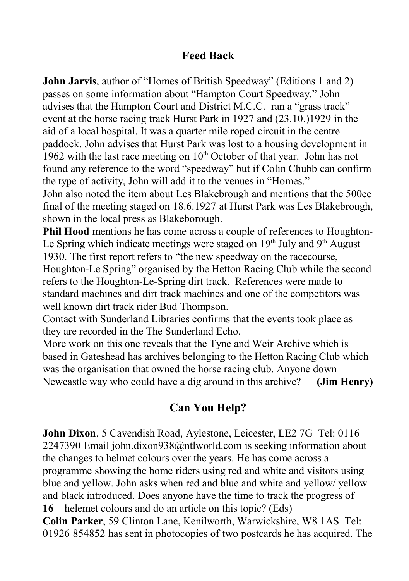### **Feed Back**

**John Jarvis**, author of "Homes of British Speedway" (Editions 1 and 2) passes on some information about "Hampton Court Speedway." John advises that the Hampton Court and District M.C.C. ran a "grass track" event at the horse racing track Hurst Park in 1927 and (23.10.)1929 in the aid of a local hospital. It was a quarter mile roped circuit in the centre paddock. John advises that Hurst Park was lost to a housing development in 1962 with the last race meeting on  $10<sup>th</sup>$  October of that year. John has not found any reference to the word "speedway" but if Colin Chubb can confirm the type of activity, John will add it to the venues in "Homes." John also noted the item about Les Blakebrough and mentions that the 500cc

final of the meeting staged on 18.6.1927 at Hurst Park was Les Blakebrough, shown in the local press as Blakeborough.

**Phil Hood** mentions he has come across a couple of references to Houghton-Le Spring which indicate meetings were staged on  $19<sup>th</sup>$  July and  $9<sup>th</sup>$  August 1930. The first report refers to "the new speedway on the racecourse, Houghton-Le Spring" organised by the Hetton Racing Club while the second refers to the Houghton-Le-Spring dirt track. References were made to standard machines and dirt track machines and one of the competitors was well known dirt track rider Bud Thompson.

Contact with Sunderland Libraries confirms that the events took place as they are recorded in the The Sunderland Echo.

More work on this one reveals that the Tyne and Weir Archive which is based in Gateshead has archives belonging to the Hetton Racing Club which was the organisation that owned the horse racing club. Anyone down Newcastle way who could have a dig around in this archive? **(Jim Henry)**

# **Can You Help?**

**John Dixon**, 5 Cavendish Road, Aylestone, Leicester, LE2 7G Tel: 0116 2247390 Email [john.dixon938@ntlworld.com](mailto:john.dixon938@ntlworld.com) is seeking information about the changes to helmet colours over the years. He has come across a programme showing the home riders using red and white and visitors using blue and yellow. John asks when red and blue and white and yellow/ yellow and black introduced. Does anyone have the time to track the progress of **16** helemet colours and do an article on this topic? (Eds)

**Colin Parker**, 59 Clinton Lane, Kenilworth, Warwickshire, W8 1AS Tel: 01926 854852 has sent in photocopies of two postcards he has acquired. The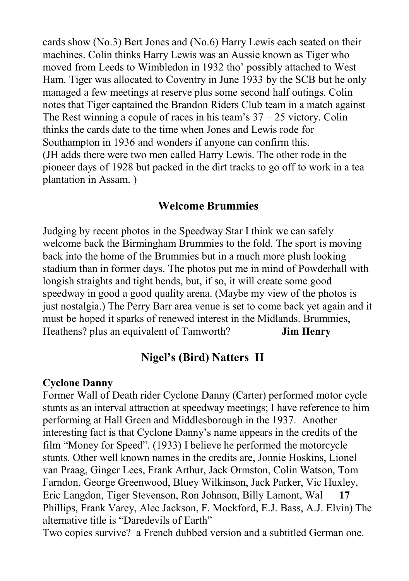cards show (No.3) Bert Jones and (No.6) Harry Lewis each seated on their machines. Colin thinks Harry Lewis was an Aussie known as Tiger who moved from Leeds to Wimbledon in 1932 tho' possibly attached to West Ham. Tiger was allocated to Coventry in June 1933 by the SCB but he only managed a few meetings at reserve plus some second half outings. Colin notes that Tiger captained the Brandon Riders Club team in a match against The Rest winning a copule of races in his team's  $37 - 25$  victory. Colin thinks the cards date to the time when Jones and Lewis rode for Southampton in 1936 and wonders if anyone can confirm this. (JH adds there were two men called Harry Lewis. The other rode in the pioneer days of 1928 but packed in the dirt tracks to go off to work in a tea plantation in Assam. )

#### **Welcome Brummies**

Judging by recent photos in the Speedway Star I think we can safely welcome back the Birmingham Brummies to the fold. The sport is moving back into the home of the Brummies but in a much more plush looking stadium than in former days. The photos put me in mind of Powderhall with longish straights and tight bends, but, if so, it will create some good speedway in good a good quality arena. (Maybe my view of the photos is just nostalgia.) The Perry Barr area venue is set to come back yet again and it must be hoped it sparks of renewed interest in the Midlands. Brummies, Heathens? plus an equivalent of Tamworth? **Jim Henry**

#### **Nigel's (Bird) Natters II**

#### **Cyclone Danny**

Former Wall of Death rider Cyclone Danny (Carter) performed motor cycle stunts as an interval attraction at speedway meetings; I have reference to him performing at Hall Green and Middlesborough in the 1937. Another interesting fact is that Cyclone Danny's name appears in the credits of the film "Money for Speed". (1933) I believe he performed the motorcycle stunts. Other well known names in the credits are, Jonnie Hoskins, Lionel van Praag, Ginger Lees, Frank Arthur, Jack Ormston, Colin Watson, Tom Farndon, George Greenwood, Bluey Wilkinson, Jack Parker, Vic Huxley, Eric Langdon, Tiger Stevenson, Ron Johnson, Billy Lamont, Wal **17** Phillips, Frank Varey, Alec Jackson, F. Mockford, E.J. Bass, A.J. Elvin) The alternative title is "Daredevils of Earth"

Two copies survive? a French dubbed version and a subtitled German one.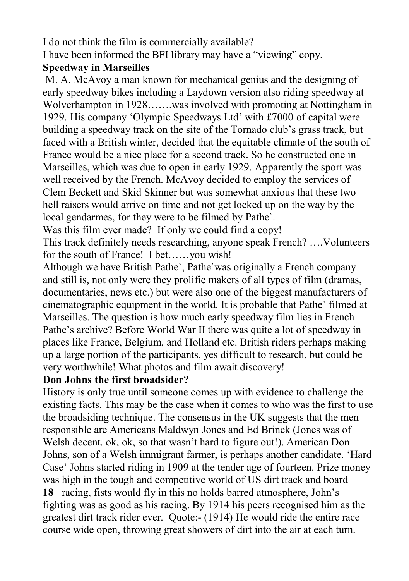I do not think the film is commercially available? I have been informed the BFI library may have a "viewing" copy.

#### **Speedway in Marseilles**

 M. A. McAvoy a man known for mechanical genius and the designing of early speedway bikes including a Laydown version also riding speedway at Wolverhampton in 1928…….was involved with promoting at Nottingham in 1929. His company 'Olympic Speedways Ltd' with £7000 of capital were building a speedway track on the site of the Tornado club's grass track, but faced with a British winter, decided that the equitable climate of the south of France would be a nice place for a second track. So he constructed one in Marseilles, which was due to open in early 1929. Apparently the sport was well received by the French. McAvoy decided to employ the services of Clem Beckett and Skid Skinner but was somewhat anxious that these two hell raisers would arrive on time and not get locked up on the way by the local gendarmes, for they were to be filmed by Pathe`.

Was this film ever made? If only we could find a copy!

This track definitely needs researching, anyone speak French? ….Volunteers for the south of France! I bet……you wish!

Although we have British Pathe`, Pathe`was originally a French company and still is, not only were they prolific makers of all types of film (dramas, documentaries, news etc.) but were also one of the biggest manufacturers of cinematographic equipment in the world. It is probable that Pathe` filmed at Marseilles. The question is how much early speedway film lies in French Pathe's archive? Before World War II there was quite a lot of speedway in places like France, Belgium, and Holland etc. British riders perhaps making up a large portion of the participants, yes difficult to research, but could be very worthwhile! What photos and film await discovery!

#### **Don Johns the first broadsider?**

History is only true until someone comes up with evidence to challenge the existing facts. This may be the case when it comes to who was the first to use the broadsiding technique. The consensus in the UK suggests that the men responsible are Americans Maldwyn Jones and Ed Brinck (Jones was of Welsh decent. ok, ok, so that wasn't hard to figure out!). American Don Johns, son of a Welsh immigrant farmer, is perhaps another candidate. 'Hard Case' Johns started riding in 1909 at the tender age of fourteen. Prize money was high in the tough and competitive world of US dirt track and board

**18** racing, fists would fly in this no holds barred atmosphere, John's fighting was as good as his racing. By 1914 his peers recognised him as the greatest dirt track rider ever. Quote:- (1914) He would ride the entire race course wide open, throwing great showers of dirt into the air at each turn.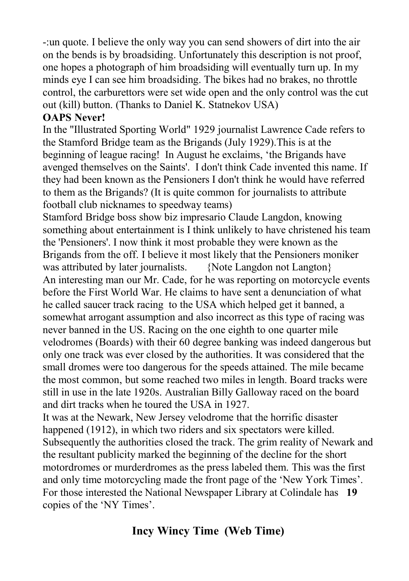-:un quote. I believe the only way you can send showers of dirt into the air on the bends is by broadsiding. Unfortunately this description is not proof, one hopes a photograph of him broadsiding will eventually turn up. In my minds eye I can see him broadsiding. The bikes had no brakes, no throttle control, the carburettors were set wide open and the only control was the cut out (kill) button. (Thanks to Daniel K. Statnekov USA)

#### **OAPS Never!**

In the "Illustrated Sporting World" 1929 journalist Lawrence Cade refers to the Stamford Bridge team as the Brigands (July 1929).This is at the beginning of league racing! In August he exclaims, 'the Brigands have avenged themselves on the Saints'. I don't think Cade invented this name. If they had been known as the Pensioners I don't think he would have referred to them as the Brigands? (It is quite common for journalists to attribute football club nicknames to speedway teams)

Stamford Bridge boss show biz impresario Claude Langdon, knowing something about entertainment is I think unlikely to have christened his team the 'Pensioners'. I now think it most probable they were known as the Brigands from the off. I believe it most likely that the Pensioners moniker was attributed by later journalists. {Note Langdon not Langton} An interesting man our Mr. Cade, for he was reporting on motorcycle events before the First World War. He claims to have sent a denunciation of what he called saucer track racing to the USA which helped get it banned, a somewhat arrogant assumption and also incorrect as this type of racing was never banned in the US. Racing on the one eighth to one quarter mile velodromes (Boards) with their 60 degree banking was indeed dangerous but only one track was ever closed by the authorities. It was considered that the small dromes were too dangerous for the speeds attained. The mile became the most common, but some reached two miles in length. Board tracks were still in use in the late 1920s. Australian Billy Galloway raced on the board and dirt tracks when he toured the USA in 1927.

It was at the Newark, New Jersey velodrome that the horrific disaster happened (1912), in which two riders and six spectators were killed. Subsequently the authorities closed the track. The grim reality of Newark and the resultant publicity marked the beginning of the decline for the short motordromes or murderdromes as the press labeled them. This was the first and only time motorcycling made the front page of the 'New York Times'. For those interested the National Newspaper Library at Colindale has **19** copies of the 'NY Times'.

# **Incy Wincy Time (Web Time)**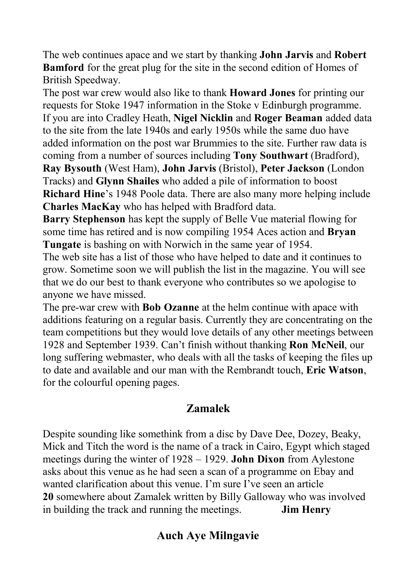The web continues apace and we start by thanking **John Jarvis** and **Robert Bamford** for the great plug for the site in the second edition of Homes of British Speedway.

The post war crew would also like to thank **Howard Jones** for printing our requests for Stoke 1947 information in the Stoke v Edinburgh programme. If you are into Cradley Heath, **Nigel Nicklin** and **Roger Beaman** added data to the site from the late 1940s and early 1950s while the same duo have added information on the post war Brummies to the site. Further raw data is coming from a number of sources including **Tony Southwart** (Bradford), **Ray Bysouth** (West Ham), **John Jarvis** (Bristol), **Peter Jackson** (London Tracks) and **Glynn Shailes** who added a pile of information to boost **Richard Hine**'s 1948 Poole data. There are also many more helping include **Charles MacKay** who has helped with Bradford data.

**Barry Stephenson** has kept the supply of Belle Vue material flowing for some time has retired and is now compiling 1954 Aces action and **Bryan Tungate** is bashing on with Norwich in the same year of 1954.

The web site has a list of those who have helped to date and it continues to grow. Sometime soon we will publish the list in the magazine. You will see that we do our best to thank everyone who contributes so we apologise to anyone we have missed.

The pre-war crew with **Bob Ozanne** at the helm continue with apace with additions featuring on a regular basis. Currently they are concentrating on the team competitions but they would love details of any other meetings between 1928 and September 1939. Can't finish without thanking **Ron McNeil**, our long suffering webmaster, who deals with all the tasks of keeping the files up to date and available and our man with the Rembrandt touch, **Eric Watson**, for the colourful opening pages.

### **Zamalek**

Despite sounding like somethink from a disc by Dave Dee, Dozey, Beaky, Mick and Titch the word is the name of a track in Cairo, Egypt which staged meetings during the winter of 1928 – 1929. **John Dixon** from Aylestone asks about this venue as he had seen a scan of a programme on Ebay and wanted clarification about this venue. I'm sure I've seen an article **20** somewhere about Zamalek written by Billy Galloway who was involved in building the track and running the meetings. **Jim Henry**

### **Auch Aye Milngavie**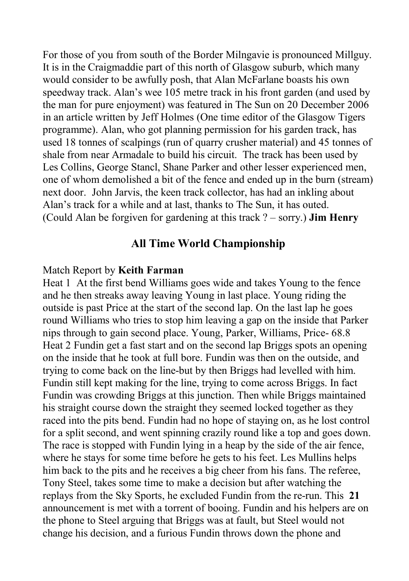For those of you from south of the Border Milngavie is pronounced Millguy. It is in the Craigmaddie part of this north of Glasgow suburb, which many would consider to be awfully posh, that Alan McFarlane boasts his own speedway track. Alan's wee 105 metre track in his front garden (and used by the man for pure enjoyment) was featured in The Sun on 20 December 2006 in an article written by Jeff Holmes (One time editor of the Glasgow Tigers programme). Alan, who got planning permission for his garden track, has used 18 tonnes of scalpings (run of quarry crusher material) and 45 tonnes of shale from near Armadale to build his circuit. The track has been used by Les Collins, George Stancl, Shane Parker and other lesser experienced men, one of whom demolished a bit of the fence and ended up in the burn (stream) next door. John Jarvis, the keen track collector, has had an inkling about Alan's track for a while and at last, thanks to The Sun, it has outed. (Could Alan be forgiven for gardening at this track ? – sorry.) **Jim Henry**

#### **All Time World Championship**

#### Match Report by **Keith Farman**

Heat 1 At the first bend Williams goes wide and takes Young to the fence and he then streaks away leaving Young in last place. Young riding the outside is past Price at the start of the second lap. On the last lap he goes round Williams who tries to stop him leaving a gap on the inside that Parker nips through to gain second place. Young, Parker, Williams, Price- 68.8 Heat 2 Fundin get a fast start and on the second lap Briggs spots an opening on the inside that he took at full bore. Fundin was then on the outside, and trying to come back on the line-but by then Briggs had levelled with him. Fundin still kept making for the line, trying to come across Briggs. In fact Fundin was crowding Briggs at this junction. Then while Briggs maintained his straight course down the straight they seemed locked together as they raced into the pits bend. Fundin had no hope of staying on, as he lost control for a split second, and went spinning crazily round like a top and goes down. The race is stopped with Fundin lying in a heap by the side of the air fence, where he stays for some time before he gets to his feet. Les Mullins helps him back to the pits and he receives a big cheer from his fans. The referee, Tony Steel, takes some time to make a decision but after watching the replays from the Sky Sports, he excluded Fundin from the re-run. This **21** announcement is met with a torrent of booing. Fundin and his helpers are on the phone to Steel arguing that Briggs was at fault, but Steel would not change his decision, and a furious Fundin throws down the phone and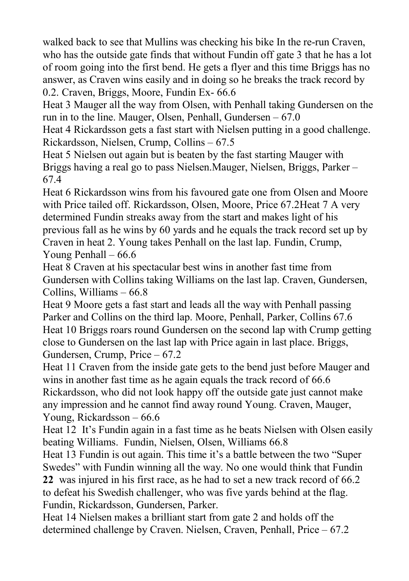walked back to see that Mullins was checking his bike In the re-run Craven, who has the outside gate finds that without Fundin off gate 3 that he has a lot of room going into the first bend. He gets a flyer and this time Briggs has no answer, as Craven wins easily and in doing so he breaks the track record by 0.2. Craven, Briggs, Moore, Fundin Ex- 66.6

Heat 3 Mauger all the way from Olsen, with Penhall taking Gundersen on the run in to the line. Mauger, Olsen, Penhall, Gundersen  $-67.0$ 

Heat 4 Rickardsson gets a fast start with Nielsen putting in a good challenge. Rickardsson, Nielsen, Crump, Collins – 67.5

Heat 5 Nielsen out again but is beaten by the fast starting Mauger with Briggs having a real go to pass Nielsen.Mauger, Nielsen, Briggs, Parker – 67.4

Heat 6 Rickardsson wins from his favoured gate one from Olsen and Moore with Price tailed off. Rickardsson, Olsen, Moore, Price 67.2Heat 7 A very determined Fundin streaks away from the start and makes light of his previous fall as he wins by 60 yards and he equals the track record set up by Craven in heat 2. Young takes Penhall on the last lap. Fundin, Crump, Young Penhall – 66.6

Heat 8 Craven at his spectacular best wins in another fast time from Gundersen with Collins taking Williams on the last lap. Craven, Gundersen, Collins, Williams – 66.8

Heat 9 Moore gets a fast start and leads all the way with Penhall passing Parker and Collins on the third lap. Moore, Penhall, Parker, Collins 67.6 Heat 10 Briggs roars round Gundersen on the second lap with Crump getting close to Gundersen on the last lap with Price again in last place. Briggs, Gundersen, Crump, Price – 67.2

Heat 11 Craven from the inside gate gets to the bend just before Mauger and wins in another fast time as he again equals the track record of 66.6 Rickardsson, who did not look happy off the outside gate just cannot make any impression and he cannot find away round Young. Craven, Mauger, Young, Rickardsson – 66.6

Heat 12 It's Fundin again in a fast time as he beats Nielsen with Olsen easily beating Williams. Fundin, Nielsen, Olsen, Williams 66.8

Heat 13 Fundin is out again. This time it's a battle between the two "Super Swedes" with Fundin winning all the way. No one would think that Fundin

**22** was injured in his first race, as he had to set a new track record of 66.2 to defeat his Swedish challenger, who was five yards behind at the flag. Fundin, Rickardsson, Gundersen, Parker.

Heat 14 Nielsen makes a brilliant start from gate 2 and holds off the determined challenge by Craven. Nielsen, Craven, Penhall, Price – 67.2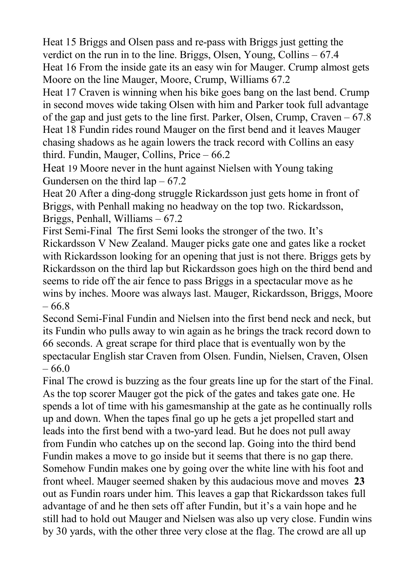Heat 15 Briggs and Olsen pass and re-pass with Briggs just getting the verdict on the run in to the line. Briggs, Olsen, Young, Collins – 67.4 Heat 16 From the inside gate its an easy win for Mauger. Crump almost gets Moore on the line Mauger, Moore, Crump, Williams 67.2

Heat 17 Craven is winning when his bike goes bang on the last bend. Crump in second moves wide taking Olsen with him and Parker took full advantage of the gap and just gets to the line first. Parker, Olsen, Crump, Craven – 67.8 Heat 18 Fundin rides round Mauger on the first bend and it leaves Mauger chasing shadows as he again lowers the track record with Collins an easy third. Fundin, Mauger, Collins, Price – 66.2

Heat 19 Moore never in the hunt against Nielsen with Young taking Gundersen on the third  $lap - 67.2$ 

Heat 20 After a ding-dong struggle Rickardsson just gets home in front of Briggs, with Penhall making no headway on the top two. Rickardsson, Briggs, Penhall, Williams – 67.2

First Semi-Final The first Semi looks the stronger of the two. It's Rickardsson V New Zealand. Mauger picks gate one and gates like a rocket with Rickardsson looking for an opening that just is not there. Briggs gets by Rickardsson on the third lap but Rickardsson goes high on the third bend and seems to ride off the air fence to pass Briggs in a spectacular move as he wins by inches. Moore was always last. Mauger, Rickardsson, Briggs, Moore – 66.8

Second Semi-Final Fundin and Nielsen into the first bend neck and neck, but its Fundin who pulls away to win again as he brings the track record down to 66 seconds. A great scrape for third place that is eventually won by the spectacular English star Craven from Olsen. Fundin, Nielsen, Craven, Olsen – 66.0

Final The crowd is buzzing as the four greats line up for the start of the Final. As the top scorer Mauger got the pick of the gates and takes gate one. He spends a lot of time with his gamesmanship at the gate as he continually rolls up and down. When the tapes final go up he gets a jet propelled start and leads into the first bend with a two-yard lead. But he does not pull away from Fundin who catches up on the second lap. Going into the third bend Fundin makes a move to go inside but it seems that there is no gap there. Somehow Fundin makes one by going over the white line with his foot and front wheel. Mauger seemed shaken by this audacious move and moves **23** out as Fundin roars under him. This leaves a gap that Rickardsson takes full advantage of and he then sets off after Fundin, but it's a vain hope and he still had to hold out Mauger and Nielsen was also up very close. Fundin wins by 30 yards, with the other three very close at the flag. The crowd are all up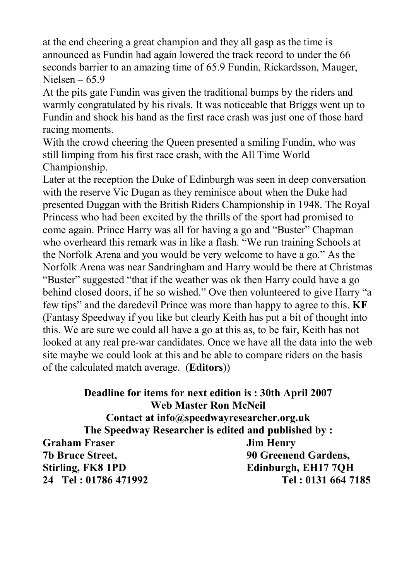at the end cheering a great champion and they all gasp as the time is announced as Fundin had again lowered the track record to under the 66 seconds barrier to an amazing time of 65.9 Fundin, Rickardsson, Mauger, Nielsen –  $65.9$ 

At the pits gate Fundin was given the traditional bumps by the riders and warmly congratulated by his rivals. It was noticeable that Briggs went up to Fundin and shock his hand as the first race crash was just one of those hard racing moments.

With the crowd cheering the Queen presented a smiling Fundin, who was still limping from his first race crash, with the All Time World Championship.

Later at the reception the Duke of Edinburgh was seen in deep conversation with the reserve Vic Dugan as they reminisce about when the Duke had presented Duggan with the British Riders Championship in 1948. The Royal Princess who had been excited by the thrills of the sport had promised to come again. Prince Harry was all for having a go and "Buster" Chapman who overheard this remark was in like a flash. "We run training Schools at the Norfolk Arena and you would be very welcome to have a go." As the Norfolk Arena was near Sandringham and Harry would be there at Christmas "Buster" suggested "that if the weather was ok then Harry could have a go behind closed doors, if he so wished." Ove then volunteered to give Harry "a few tips" and the daredevil Prince was more than happy to agree to this. **KF** (Fantasy Speedway if you like but clearly Keith has put a bit of thought into this. We are sure we could all have a go at this as, to be fair, Keith has not looked at any real pre-war candidates. Once we have all the data into the web site maybe we could look at this and be able to compare riders on the basis of the calculated match average. (**Editors**))

**Deadline for items for next edition is : 30th April 2007 Web Master Ron McNeil Contact at info@speedwayresearcher.org.uk The Speedway Researcher is edited and published by : Graham Fraser Jim Henry 7b Bruce Street, 90 Greenend Gardens, Stirling, FK8 1PD Edinburgh, EH17 7QH 24 Tel : 01786 471992 Tel : 0131 664 7185**